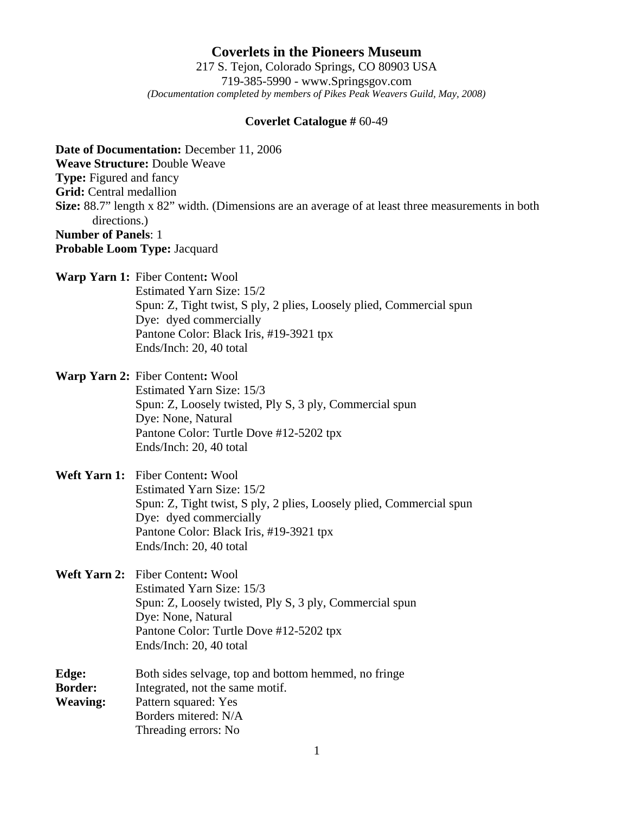**Coverlets in the Pioneers Museum** 217 S. Tejon, Colorado Springs, CO 80903 USA 719-385-5990 - www.Springsgov.com *(Documentation completed by members of Pikes Peak Weavers Guild, May, 2008)* 

## **Coverlet Catalogue #** 60-49

**Date of Documentation:** December 11, 2006 **Weave Structure:** Double Weave **Type:** Figured and fancy **Grid:** Central medallion **Size:** 88.7" length x 82" width. (Dimensions are an average of at least three measurements in both directions.) **Number of Panels**: 1 **Probable Loom Type:** Jacquard

**Warp Yarn 1:** Fiber Content**:** Wool

 Estimated Yarn Size: 15/2 Spun: Z, Tight twist, S ply, 2 plies, Loosely plied, Commercial spun Dye: dyed commercially Pantone Color: Black Iris, #19-3921 tpx Ends/Inch: 20, 40 total

**Warp Yarn 2:** Fiber Content**:** Wool Estimated Yarn Size: 15/3 Spun: Z, Loosely twisted, Ply S, 3 ply, Commercial spun Dye: None, Natural Pantone Color: Turtle Dove #12-5202 tpx Ends/Inch: 20, 40 total

## **Weft Yarn 1:** Fiber Content**:** Wool Estimated Yarn Size: 15/2 Spun: Z, Tight twist, S ply, 2 plies, Loosely plied, Commercial spun Dye: dyed commercially Pantone Color: Black Iris, #19-3921 tpx Ends/Inch: 20, 40 total

**Weft Yarn 2:** Fiber Content**:** Wool Estimated Yarn Size: 15/3 Spun: Z, Loosely twisted, Ply S, 3 ply, Commercial spun Dye: None, Natural Pantone Color: Turtle Dove #12-5202 tpx Ends/Inch: 20, 40 total

**Edge:** Both sides selvage, top and bottom hemmed, no fringe **Border:** Integrated, not the same motif. **Weaving:** Pattern squared: Yes Borders mitered: N/A Threading errors: No